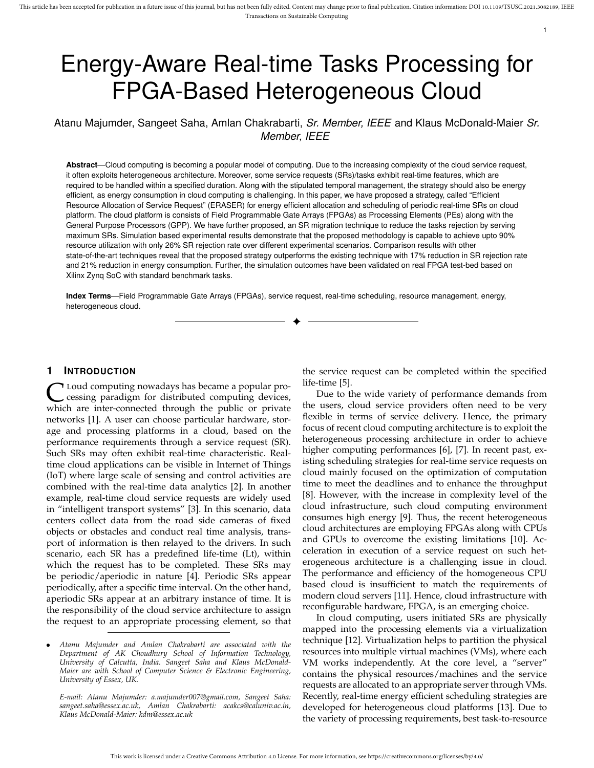# Energy-Aware Real-time Tasks Processing for FPGA-Based Heterogeneous Cloud

Atanu Majumder, Sangeet Saha, Amlan Chakrabarti, *Sr. Member, IEEE* and Klaus McDonald-Maier *Sr. Member, IEEE*

**Abstract**—Cloud computing is becoming a popular model of computing. Due to the increasing complexity of the cloud service request, it often exploits heterogeneous architecture. Moreover, some service requests (SRs)/tasks exhibit real-time features, which are required to be handled within a specified duration. Along with the stipulated temporal management, the strategy should also be energy efficient, as energy consumption in cloud computing is challenging. In this paper, we have proposed a strategy, called "Efficient Resource Allocation of Service Request" (ERASER) for energy efficient allocation and scheduling of periodic real-time SRs on cloud platform. The cloud platform is consists of Field Programmable Gate Arrays (FPGAs) as Processing Elements (PEs) along with the General Purpose Processors (GPP). We have further proposed, an SR migration technique to reduce the tasks rejection by serving maximum SRs. Simulation based experimental results demonstrate that the proposed methodology is capable to achieve upto 90% resource utilization with only 26% SR rejection rate over different experimental scenarios. Comparison results with other state-of-the-art techniques reveal that the proposed strategy outperforms the existing technique with 17% reduction in SR rejection rate and 21% reduction in energy consumption. Further, the simulation outcomes have been validated on real FPGA test-bed based on Xilinx Zynq SoC with standard benchmark tasks.

**Index Terms**—Field Programmable Gate Arrays (FPGAs), service request, real-time scheduling, resource management, energy, heterogeneous cloud.

✦

# **1 INTRODUCTION**

C Loud computing nowadays has became a popular processing paradigm for distributed computing devices, which are inter-connected through the public or private Loud computing nowadays has became a popular processing paradigm for distributed computing devices, networks [1]. A user can choose particular hardware, storage and processing platforms in a cloud, based on the performance requirements through a service request (SR). Such SRs may often exhibit real-time characteristic. Realtime cloud applications can be visible in Internet of Things (IoT) where large scale of sensing and control activities are combined with the real-time data analytics [2]. In another example, real-time cloud service requests are widely used in "intelligent transport systems" [3]. In this scenario, data centers collect data from the road side cameras of fixed objects or obstacles and conduct real time analysis, transport of information is then relayed to the drivers. In such scenario, each SR has a predefined life-time (Lt), within which the request has to be completed. These SRs may be periodic/aperiodic in nature [4]. Periodic SRs appear periodically, after a specific time interval. On the other hand, aperiodic SRs appear at an arbitrary instance of time. It is the responsibility of the cloud service architecture to assign the request to an appropriate processing element, so that

*E-mail: Atanu Majumder: a.majumder007@gmail.com, Sangeet Saha: sangeet.saha@essex.ac.uk, Amlan Chakrabarti: acakcs@caluniv.ac.in, Klaus McDonald-Maier: kdm@essex.ac.uk*

the service request can be completed within the specified life-time [5].

1

Due to the wide variety of performance demands from the users, cloud service providers often need to be very flexible in terms of service delivery. Hence, the primary focus of recent cloud computing architecture is to exploit the heterogeneous processing architecture in order to achieve higher computing performances [6], [7]. In recent past, existing scheduling strategies for real-time service requests on cloud mainly focused on the optimization of computation time to meet the deadlines and to enhance the throughput [8]. However, with the increase in complexity level of the cloud infrastructure, such cloud computing environment consumes high energy [9]. Thus, the recent heterogeneous cloud architectures are employing FPGAs along with CPUs and GPUs to overcome the existing limitations [10]. Acceleration in execution of a service request on such heterogeneous architecture is a challenging issue in cloud. The performance and efficiency of the homogeneous CPU based cloud is insufficient to match the requirements of modern cloud servers [11]. Hence, cloud infrastructure with reconfigurable hardware, FPGA, is an emerging choice.

In cloud computing, users initiated SRs are physically mapped into the processing elements via a virtualization technique [12]. Virtualization helps to partition the physical resources into multiple virtual machines (VMs), where each VM works independently. At the core level, a "server" contains the physical resources/machines and the service requests are allocated to an appropriate server through VMs. Recently, real-time energy efficient scheduling strategies are developed for heterogeneous cloud platforms [13]. Due to the variety of processing requirements, best task-to-resource

<sup>•</sup> *Atanu Majumder and Amlan Chakrabarti are associated with the Department of AK Choudhury School of Information Technology, University of Calcutta, India. Sangeet Saha and Klaus McDonald-Maier are with School of Computer Science & Electronic Engineering, University of Essex, UK.*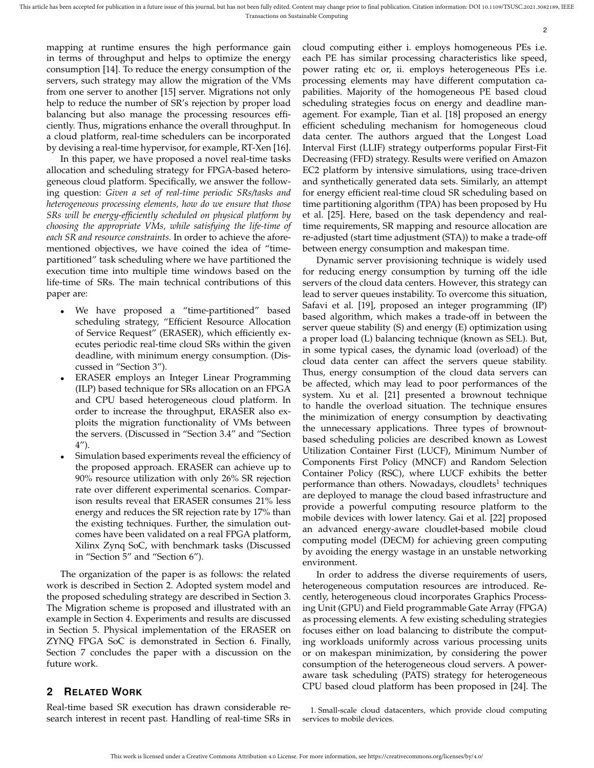mapping at runtime ensures the high performance gain in terms of throughput and helps to optimize the energy consumption [14]. To reduce the energy consumption of the servers, such strategy may allow the migration of the VMs from one server to another [15] server. Migrations not only help to reduce the number of SR's rejection by proper load balancing but also manage the processing resources efficiently. Thus, migrations enhance the overall throughput. In a cloud platform, real-time schedulers can be incorporated by devising a real-time hypervisor, for example, RT-Xen [16].

In this paper, we have proposed a novel real-time tasks allocation and scheduling strategy for FPGA-based heterogeneous cloud platform. Specifically, we answer the following question: *Given a set of real-time periodic SRs/tasks and heterogeneous processing elements, how do we ensure that those SRs will be energy-efficiently scheduled on physical platform by choosing the appropriate VMs, while satisfying the life-time of each SR and resource constraints.* In order to achieve the aforementioned objectives, we have coined the idea of "timepartitioned" task scheduling where we have partitioned the execution time into multiple time windows based on the life-time of SRs. The main technical contributions of this paper are:

- We have proposed a "time-partitioned" based scheduling strategy, "Efficient Resource Allocation of Service Request" (ERASER), which efficiently executes periodic real-time cloud SRs within the given deadline, with minimum energy consumption. (Discussed in "Section 3").
- ERASER employs an Integer Linear Programming (ILP) based technique for SRs allocation on an FPGA and CPU based heterogeneous cloud platform. In order to increase the throughput, ERASER also exploits the migration functionality of VMs between the servers. (Discussed in "Section 3.4" and "Section 4").
- Simulation based experiments reveal the efficiency of the proposed approach. ERASER can achieve up to 90% resource utilization with only 26% SR rejection rate over different experimental scenarios. Comparison results reveal that ERASER consumes 21% less energy and reduces the SR rejection rate by 17% than the existing techniques. Further, the simulation outcomes have been validated on a real FPGA platform, Xilinx Zynq SoC, with benchmark tasks (Discussed in "Section 5" and "Section 6").

The organization of the paper is as follows: the related work is described in Section 2. Adopted system model and the proposed scheduling strategy are described in Section 3. The Migration scheme is proposed and illustrated with an example in Section 4. Experiments and results are discussed in Section 5. Physical implementation of the ERASER on ZYNQ FPGA SoC is demonstrated in Section 6. Finally, Section 7 concludes the paper with a discussion on the future work.

# **2 RELATED WORK**

Real-time based SR execution has drawn considerable research interest in recent past. Handling of real-time SRs in cloud computing either i. employs homogeneous PEs i.e. each PE has similar processing characteristics like speed, power rating etc or, ii. employs heterogeneous PEs i.e. processing elements may have different computation capabilities. Majority of the homogeneous PE based cloud scheduling strategies focus on energy and deadline management. For example, Tian et al. [18] proposed an energy efficient scheduling mechanism for homogeneous cloud data center. The authors argued that the Longest Load Interval First (LLIF) strategy outperforms popular First-Fit Decreasing (FFD) strategy. Results were verified on Amazon EC2 platform by intensive simulations, using trace-driven and synthetically generated data sets. Similarly, an attempt for energy efficient real-time cloud SR scheduling based on time partitioning algorithm (TPA) has been proposed by Hu et al. [25]. Here, based on the task dependency and realtime requirements, SR mapping and resource allocation are re-adjusted (start time adjustment (STA)) to make a trade-off between energy consumption and makespan time.

Dynamic server provisioning technique is widely used for reducing energy consumption by turning off the idle servers of the cloud data centers. However, this strategy can lead to server queues instability. To overcome this situation, Safavi et al. [19], proposed an integer programming (IP) based algorithm, which makes a trade-off in between the server queue stability (S) and energy (E) optimization using a proper load (L) balancing technique (known as SEL). But, in some typical cases, the dynamic load (overload) of the cloud data center can affect the servers queue stability. Thus, energy consumption of the cloud data servers can be affected, which may lead to poor performances of the system. Xu et al. [21] presented a brownout technique to handle the overload situation. The technique ensures the minimization of energy consumption by deactivating the unnecessary applications. Three types of brownoutbased scheduling policies are described known as Lowest Utilization Container First (LUCF), Minimum Number of Components First Policy (MNCF) and Random Selection Container Policy (RSC), where LUCF exhibits the better performance than others. Nowadays, cloudlets<sup>1</sup> techniques are deployed to manage the cloud based infrastructure and provide a powerful computing resource platform to the mobile devices with lower latency. Gai et al. [22] proposed an advanced energy-aware cloudlet-based mobile cloud computing model (DECM) for achieving green computing by avoiding the energy wastage in an unstable networking environment.

In order to address the diverse requirements of users, heterogeneous computation resources are introduced. Recently, heterogeneous cloud incorporates Graphics Processing Unit (GPU) and Field programmable Gate Array (FPGA) as processing elements. A few existing scheduling strategies focuses either on load balancing to distribute the computing workloads uniformly across various processing units or on makespan minimization, by considering the power consumption of the heterogeneous cloud servers. A poweraware task scheduling (PATS) strategy for heterogeneous CPU based cloud platform has been proposed in [24]. The

1. Small-scale cloud datacenters, which provide cloud computing services to mobile devices.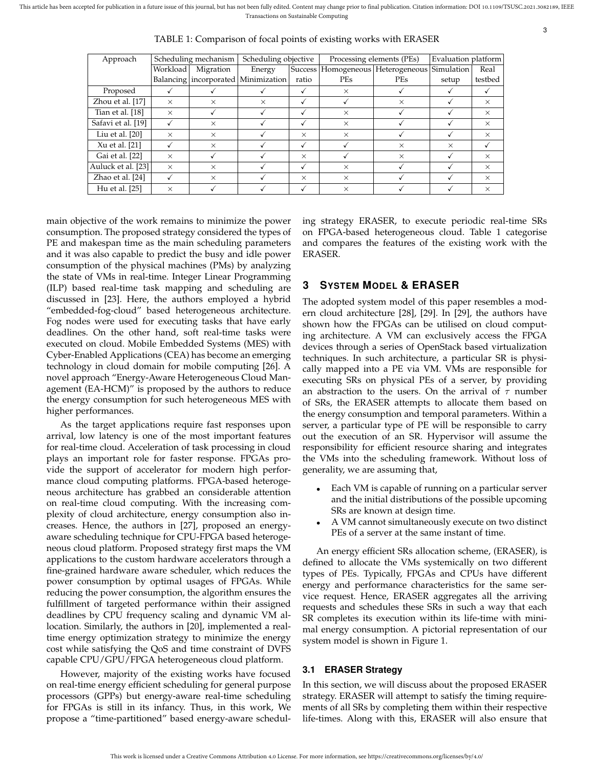This article has been accepted for publication in a future issue of this journal, but has not been fully edited. Content may change prior to final publication. Citation information: DOI 10.1109/TSUSC.2021.3082189, IEEE Transactions on Sustainable Computing

| Approach           | Scheduling mechanism |           | Scheduling objective                    |          | Processing elements (PEs) |                                       | Evaluation platform |          |
|--------------------|----------------------|-----------|-----------------------------------------|----------|---------------------------|---------------------------------------|---------------------|----------|
|                    | Workload             | Migration | Energy                                  |          |                           | Success   Homogeneous   Heterogeneous | Simulation          | Real     |
|                    |                      |           | Balancing   incorporated   Minimization | ratio    | PEs                       | <b>PEs</b>                            | setup               | testbed  |
| Proposed           |                      |           |                                         |          | $\times$                  |                                       |                     |          |
| Zhou et al. [17]   | $\times$             | $\times$  | $\times$                                |          |                           | $\times$                              |                     | $\times$ |
| Tian et al. [18]   | X                    |           |                                         | ✓        | $\times$                  |                                       |                     | $\times$ |
| Safavi et al. [19] |                      | $\times$  |                                         | ✓        | $\times$                  |                                       |                     | $\times$ |
| Liu et al. $[20]$  | $\times$             | $\times$  |                                         | $\times$ | $\times$                  |                                       |                     | $\times$ |
| Xu et al. [21]     |                      | $\times$  |                                         | √        |                           | $\times$                              | $\times$            |          |
| Gai et al. [22]    | $\times$             |           |                                         | $\times$ |                           | $\times$                              |                     | $\times$ |
| Auluck et al. [23] | $\times$             | $\times$  |                                         | ✓        | $\times$                  |                                       |                     | $\times$ |
| Zhao et al. [24]   |                      | $\times$  |                                         | $\times$ | $\times$                  |                                       |                     | $\times$ |
| Hu et al. [25]     | $\times$             |           |                                         |          | $\times$                  |                                       |                     | $\times$ |

TABLE 1: Comparison of focal points of existing works with ERASER

main objective of the work remains to minimize the power consumption. The proposed strategy considered the types of PE and makespan time as the main scheduling parameters and it was also capable to predict the busy and idle power consumption of the physical machines (PMs) by analyzing the state of VMs in real-time. Integer Linear Programming (ILP) based real-time task mapping and scheduling are discussed in [23]. Here, the authors employed a hybrid "embedded-fog-cloud" based heterogeneous architecture. Fog nodes were used for executing tasks that have early deadlines. On the other hand, soft real-time tasks were executed on cloud. Mobile Embedded Systems (MES) with Cyber-Enabled Applications (CEA) has become an emerging technology in cloud domain for mobile computing [26]. A novel approach "Energy-Aware Heterogeneous Cloud Management (EA-HCM)" is proposed by the authors to reduce the energy consumption for such heterogeneous MES with higher performances.

As the target applications require fast responses upon arrival, low latency is one of the most important features for real-time cloud. Acceleration of task processing in cloud plays an important role for faster response. FPGAs provide the support of accelerator for modern high performance cloud computing platforms. FPGA-based heterogeneous architecture has grabbed an considerable attention on real-time cloud computing. With the increasing complexity of cloud architecture, energy consumption also increases. Hence, the authors in [27], proposed an energyaware scheduling technique for CPU-FPGA based heterogeneous cloud platform. Proposed strategy first maps the VM applications to the custom hardware accelerators through a fine-grained hardware aware scheduler, which reduces the power consumption by optimal usages of FPGAs. While reducing the power consumption, the algorithm ensures the fulfillment of targeted performance within their assigned deadlines by CPU frequency scaling and dynamic VM allocation. Similarly, the authors in [20], implemented a realtime energy optimization strategy to minimize the energy cost while satisfying the QoS and time constraint of DVFS capable CPU/GPU/FPGA heterogeneous cloud platform.

However, majority of the existing works have focused on real-time energy efficient scheduling for general purpose processors (GPPs) but energy-aware real-time scheduling for FPGAs is still in its infancy. Thus, in this work, We propose a "time-partitioned" based energy-aware scheduling strategy ERASER, to execute periodic real-time SRs on FPGA-based heterogeneous cloud. Table 1 categorise and compares the features of the existing work with the ERASER.

# **3 SYSTEM MODEL & ERASER**

The adopted system model of this paper resembles a modern cloud architecture [28], [29]. In [29], the authors have shown how the FPGAs can be utilised on cloud computing architecture. A VM can exclusively access the FPGA devices through a series of OpenStack based virtualization techniques. In such architecture, a particular SR is physically mapped into a PE via VM. VMs are responsible for executing SRs on physical PEs of a server, by providing an abstraction to the users. On the arrival of  $\tau$  number of SRs, the ERASER attempts to allocate them based on the energy consumption and temporal parameters. Within a server, a particular type of PE will be responsible to carry out the execution of an SR. Hypervisor will assume the responsibility for efficient resource sharing and integrates the VMs into the scheduling framework. Without loss of generality, we are assuming that,

- Each VM is capable of running on a particular server and the initial distributions of the possible upcoming SRs are known at design time.
- A VM cannot simultaneously execute on two distinct PEs of a server at the same instant of time.

An energy efficient SRs allocation scheme, (ERASER), is defined to allocate the VMs systemically on two different types of PEs. Typically, FPGAs and CPUs have different energy and performance characteristics for the same service request. Hence, ERASER aggregates all the arriving requests and schedules these SRs in such a way that each SR completes its execution within its life-time with minimal energy consumption. A pictorial representation of our system model is shown in Figure 1.

# **3.1 ERASER Strategy**

In this section, we will discuss about the proposed ERASER strategy. ERASER will attempt to satisfy the timing requirements of all SRs by completing them within their respective life-times. Along with this, ERASER will also ensure that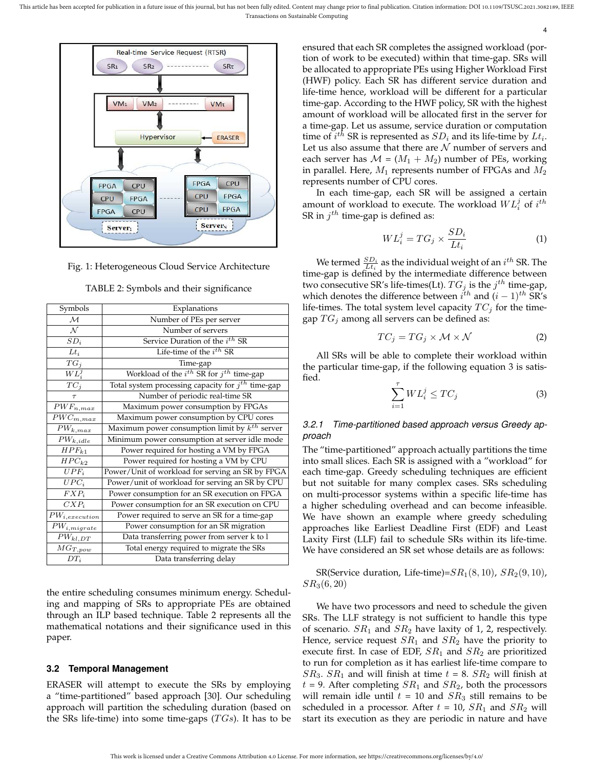

Fig. 1: Heterogeneous Cloud Service Architecture

| TABLE 2: Symbols and their significance |                                                        |  |  |  |  |
|-----------------------------------------|--------------------------------------------------------|--|--|--|--|
| Symbols                                 | Explanations                                           |  |  |  |  |
| $\mathcal{M}_{0}$                       | Number of PEs per server                               |  |  |  |  |
| ${\cal N}$                              | Number of servers                                      |  |  |  |  |
| $SD_i$                                  | Service Duration of the i <sup>th</sup> SR             |  |  |  |  |
| $\overline{L}t_i$                       | Life-time of the $i^{th}$ SR                           |  |  |  |  |
| $\overline{T}G_j$                       | Time-gap                                               |  |  |  |  |
| $\overline{WL}_{i}^{j}$                 | Workload of the $i^{th}$ SR for $j^{th}$ time-gap      |  |  |  |  |
| $TC_j$                                  | Total system processing capacity for $j^{th}$ time-gap |  |  |  |  |
| $\tau$                                  | Number of periodic real-time SR                        |  |  |  |  |
| $\bar{PWF}_{n,max}$                     | Maximum power consumption by FPGAs                     |  |  |  |  |
| $\overline{PWC}_{m,max}$                | Maximum power consumption by CPU cores                 |  |  |  |  |
| $PW_{k,max}$                            | Maximum power consumption limit by $k^{th}$ server     |  |  |  |  |
| $PW_{k,\underline{i}dle}$               | Minimum power consumption at server idle mode          |  |  |  |  |
| $HPF_{k1}$                              | Power required for hosting a VM by FPGA                |  |  |  |  |
| $HPC_{k2}$                              | Power required for hosting a VM by CPU                 |  |  |  |  |
| $UPF_i$                                 | Power/Unit of workload for serving an SR by FPGA       |  |  |  |  |
| $UPC_i$                                 | Power/unit of workload for serving an SR by CPU        |  |  |  |  |
| $FXP_i$                                 | Power consumption for an SR execution on FPGA          |  |  |  |  |
| $CXP_i$                                 | Power consumption for an SR execution on CPU           |  |  |  |  |
| $PW_{i, execution}$                     | Power required to serve an SR for a time-gap           |  |  |  |  |
| $PW_{i,migrate}$                        | Power consumption for an SR migration                  |  |  |  |  |
| $PW_{kl,DT}$                            | Data transferring power from server k to 1             |  |  |  |  |
| $MG_{T,pow}$                            | Total energy required to migrate the SRs               |  |  |  |  |
| $DT_i$                                  | Data transferring delay                                |  |  |  |  |

the entire scheduling consumes minimum energy. Scheduling and mapping of SRs to appropriate PEs are obtained through an ILP based technique. Table 2 represents all the mathematical notations and their significance used in this paper.

#### **3.2 Temporal Management**

ERASER will attempt to execute the SRs by employing a "time-partitioned" based approach [30]. Our scheduling approach will partition the scheduling duration (based on the SRs life-time) into some time-gaps  $(T Gs)$ . It has to be

ensured that each SR completes the assigned workload (portion of work to be executed) within that time-gap. SRs will be allocated to appropriate PEs using Higher Workload First (HWF) policy. Each SR has different service duration and life-time hence, workload will be different for a particular time-gap. According to the HWF policy, SR with the highest amount of workload will be allocated first in the server for a time-gap. Let us assume, service duration or computation time of  $i^{th}$  SR is represented as  $SD_i$  and its life-time by  $Lt_i$ . Let us also assume that there are  $N$  number of servers and each server has  $M = (M_1 + M_2)$  number of PEs, working in parallel. Here,  $M_1$  represents number of FPGAs and  $M_2$ represents number of CPU cores.

In each time-gap, each SR will be assigned a certain amount of workload to execute. The workload  $WL_i^j$  of  $i^{th}$ SR in  $j^{th}$  time-gap is defined as:

$$
WL_i^j = TG_j \times \frac{SD_i}{Lt_i}
$$
 (1)

4

We termed  $\frac{SD_i}{Lt_i}$  as the individual weight of an  $i^{th}$  SR. The time-gap is defined by the intermediate difference between two consecutive SR's life-times(Lt).  $TG_j$  is the  $j^{th}$  time-gap, which denotes the difference between  $i^{th}$  and  $(i - 1)^{th}$  SR's life-times. The total system level capacity  $TC_j$  for the timegap  $TG_j$  among all servers can be defined as:

$$
TC_j = TG_j \times \mathcal{M} \times \mathcal{N}
$$
 (2)

All SRs will be able to complete their workload within the particular time-gap, if the following equation 3 is satisfied.

$$
\sum_{i=1}^{\tau} WL_i^j \le TC_j \tag{3}
$$

# *3.2.1 Time-partitioned based approach versus Greedy approach*

The "time-partitioned" approach actually partitions the time into small slices. Each SR is assigned with a "workload" for each time-gap. Greedy scheduling techniques are efficient but not suitable for many complex cases. SRs scheduling on multi-processor systems within a specific life-time has a higher scheduling overhead and can become infeasible. We have shown an example where greedy scheduling approaches like Earliest Deadline First (EDF) and Least Laxity First (LLF) fail to schedule SRs within its life-time. We have considered an SR set whose details are as follows:

SR(Service duration, Life-time)= $SR_1(8, 10)$ ,  $SR_2(9, 10)$ ,  $SR_3(6, 20)$ 

We have two processors and need to schedule the given SRs. The LLF strategy is not sufficient to handle this type of scenario.  $SR_1$  and  $SR_2$  have laxity of 1, 2, respectively. Hence, service request  $SR<sub>1</sub>$  and  $SR<sub>2</sub>$  have the priority to execute first. In case of EDF,  $SR<sub>1</sub>$  and  $SR<sub>2</sub>$  are prioritized to run for completion as it has earliest life-time compare to  $SR_3$ .  $SR_1$  and will finish at time  $t = 8$ .  $SR_2$  will finish at  $t = 9$ . After completing  $SR<sub>1</sub>$  and  $SR<sub>2</sub>$ , both the processors will remain idle until  $t = 10$  and  $SR<sub>3</sub>$  still remains to be scheduled in a processor. After  $t = 10$ ,  $SR<sub>1</sub>$  and  $SR<sub>2</sub>$  will start its execution as they are periodic in nature and have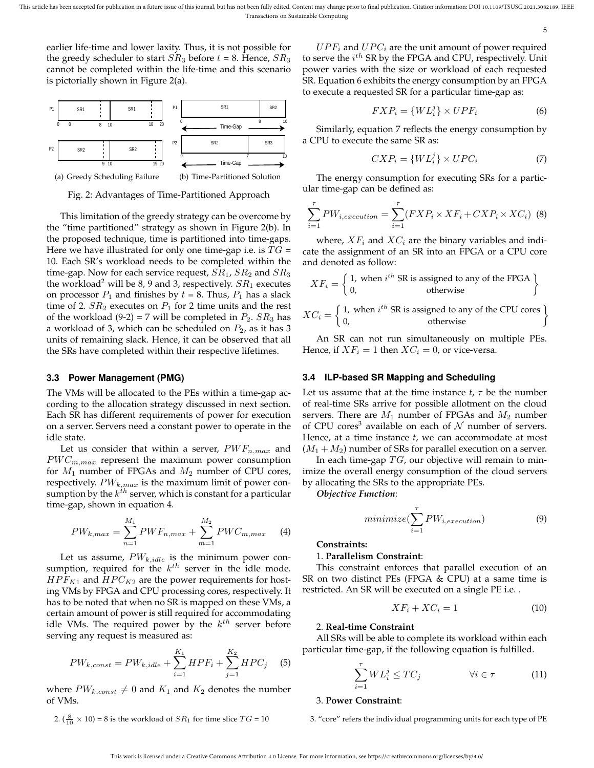5

earlier life-time and lower laxity. Thus, it is not possible for the greedy scheduler to start  $SR_3$  before  $t = 8$ . Hence,  $SR_3$ cannot be completed within the life-time and this scenario is pictorially shown in Figure 2(a).



Fig. 2: Advantages of Time-Partitioned Approach

This limitation of the greedy strategy can be overcome by the "time partitioned" strategy as shown in Figure 2(b). In the proposed technique, time is partitioned into time-gaps. Here we have illustrated for only one time-gap i.e. is  $TG =$ 10. Each SR's workload needs to be completed within the time-gap. Now for each service request,  $SR_1$ ,  $SR_2$  and  $SR_3$ the workload<sup>2</sup> will be 8, 9 and 3, respectively.  $SR_1$  executes on processor  $P_1$  and finishes by  $t = 8$ . Thus,  $P_1$  has a slack time of 2.  $SR_2$  executes on  $P_1$  for 2 time units and the rest of the workload (9-2) = 7 will be completed in  $P_2$ .  $SR_3$  has a workload of 3, which can be scheduled on  $P_2$ , as it has 3 units of remaining slack. Hence, it can be observed that all the SRs have completed within their respective lifetimes.

#### **3.3 Power Management (PMG)**

The VMs will be allocated to the PEs within a time-gap according to the allocation strategy discussed in next section. Each SR has different requirements of power for execution on a server. Servers need a constant power to operate in the idle state.

Let us consider that within a server,  $PWF_{n,max}$  and  $PWC_{m,max}$  represent the maximum power consumption for  $M_1$  number of FPGAs and  $M_2$  number of CPU cores, respectively.  $PW_{k,max}$  is the maximum limit of power consumption by the  $k^{\dot{t}h}$  server, which is constant for a particular time-gap, shown in equation 4.

$$
PW_{k,max} = \sum_{n=1}^{M_1} PWF_{n,max} + \sum_{m=1}^{M_2} PWC_{m,max}
$$
 (4)

Let us assume,  $PW_{k,idle}$  is the minimum power consumption, required for the  $k^{th}$  server in the idle mode.  $HPF_{K1}$  and  $HPC_{K2}$  are the power requirements for hosting VMs by FPGA and CPU processing cores, respectively. It has to be noted that when no SR is mapped on these VMs, a certain amount of power is still required for accommodating idle VMs. The required power by the  $k^{th}$  server before serving any request is measured as:

$$
PW_{k,const} = PW_{k,idle} + \sum_{i=1}^{K_1} HPF_i + \sum_{j=1}^{K_2} HPC_j \tag{5}
$$

where  $PW_{k,const} \neq 0$  and  $K_1$  and  $K_2$  denotes the number of VMs.

2. 
$$
(\frac{8}{10} \times 10) = 8
$$
 is the workload of  $SR_1$  for time slice  $TG = 10$ 

 $UPF_i$  and  $UPC_i$  are the unit amount of power required to serve the  $i^{th}$  SR by the FPGA and CPU, respectively. Unit power varies with the size or workload of each requested SR. Equation 6 exhibits the energy consumption by an FPGA to execute a requested SR for a particular time-gap as:

$$
FXP_i = \{WL_i^j\} \times UPF_i \tag{6}
$$

Similarly, equation 7 reflects the energy consumption by a CPU to execute the same SR as:

$$
CXP_i = \{WL_i^j\} \times UPC_i \tag{7}
$$

The energy consumption for executing SRs for a particular time-gap can be defined as:

$$
\sum_{i=1}^{\tau} PW_{i, execution} = \sum_{i=1}^{\tau} (FXP_i \times XF_i + CXP_i \times XC_i)
$$
 (8)

where,  $XF_i$  and  $XC_i$  are the binary variables and indicate the assignment of an SR into an FPGA or a CPU core and denoted as follow:

$$
XF_i = \begin{cases} 1, \text{ when } i^{th} \text{ SR is assigned to any of the FPGA} \\ 0, \text{ otherwise} \end{cases}
$$

$$
XC_i = \begin{cases} 1, \text{ when } i^{th} \text{ SR is assigned to any of the CPU cores} \\ 0, \text{ otherwise} \end{cases}
$$

An SR can not run simultaneously on multiple PEs. Hence, if  $XF_i = 1$  then  $XC_i = 0$ , or vice-versa.

#### **3.4 ILP-based SR Mapping and Scheduling**

Let us assume that at the time instance  $t$ ,  $\tau$  be the number of real-time SRs arrive for possible allotment on the cloud servers. There are  $M_1$  number of FPGAs and  $M_2$  number of CPU cores<sup>3</sup> available on each of  $N$  number of servers. Hence, at a time instance *t*, we can accommodate at most  $(M_1 + M_2)$  number of SRs for parallel execution on a server.

In each time-gap  $TG$ , our objective will remain to minimize the overall energy consumption of the cloud servers by allocating the SRs to the appropriate PEs.

*Objective Function*:

$$
minimize(\sum_{i=1}^{\tau} PW_{i, execution})
$$
\n(9)

#### **Constraints:**

#### 1. **Parallelism Constraint**:

This constraint enforces that parallel execution of an SR on two distinct PEs (FPGA & CPU) at a same time is restricted. An SR will be executed on a single PE i.e. .

$$
XF_i + XC_i = 1 \tag{10}
$$

#### 2. **Real-time Constraint**

All SRs will be able to complete its workload within each particular time-gap, if the following equation is fulfilled.

$$
\sum_{i=1}^{\tau} WL_i^j \le TC_j \qquad \qquad \forall i \in \tau \tag{11}
$$

#### 3. **Power Constraint**:

3. "core" refers the individual programming units for each type of PE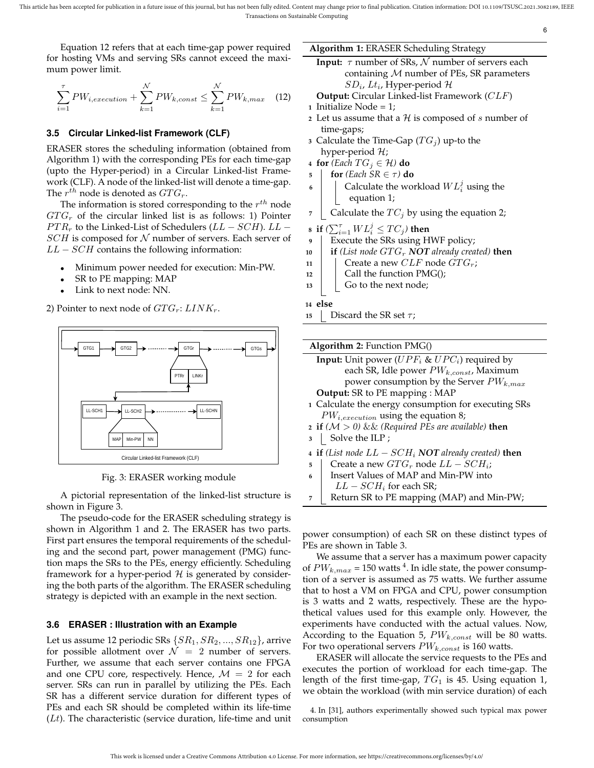Equation 12 refers that at each time-gap power required for hosting VMs and serving SRs cannot exceed the maximum power limit.

$$
\sum_{i=1}^{\tau} PW_{i, execution} + \sum_{k=1}^{N} PW_{k, const} \le \sum_{k=1}^{N} PW_{k, max} \quad (12)
$$

# **3.5 Circular Linked-list Framework (CLF)**

ERASER stores the scheduling information (obtained from Algorithm 1) with the corresponding PEs for each time-gap (upto the Hyper-period) in a Circular Linked-list Framework (CLF). A node of the linked-list will denote a time-gap. The  $r^{th}$  node is denoted as  $GTG_r$ .

The information is stored corresponding to the  $r^{th}$  node  $GTG_r$  of the circular linked list is as follows: 1) Pointer  $PTR_r$  to the Linked-List of Schedulers ( $LL - SCH$ ).  $LL SCH$  is composed for  $N$  number of servers. Each server of  $LL - SCH$  contains the following information:

- Minimum power needed for execution: Min-PW.
- SR to PE mapping: MAP
- Link to next node: NN.

2) Pointer to next node of  $GTG_r: LINK_r$ .



Fig. 3: ERASER working module

A pictorial representation of the linked-list structure is shown in Figure 3.

The pseudo-code for the ERASER scheduling strategy is shown in Algorithm 1 and 2. The ERASER has two parts. First part ensures the temporal requirements of the scheduling and the second part, power management (PMG) function maps the SRs to the PEs, energy efficiently. Scheduling framework for a hyper-period  $H$  is generated by considering the both parts of the algorithm. The ERASER scheduling strategy is depicted with an example in the next section.

#### **3.6 ERASER : Illustration with an Example**

Let us assume 12 periodic SRs  $\{SR_1, SR_2, ..., SR_{12}\}\$ , arrive for possible allotment over  $\mathcal{N} = 2$  number of servers. Further, we assume that each server contains one FPGA and one CPU core, respectively. Hence,  $\mathcal{M} = 2$  for each server. SRs can run in parallel by utilizing the PEs. Each SR has a different service duration for different types of PEs and each SR should be completed within its life-time  $(Lt)$ . The characteristic (service duration, life-time and unit

#### **Algorithm 1:** ERASER Scheduling Strategy

**Input:**  $\tau$  number of SRs,  $\mathcal{N}$  number of servers each containing  $M$  number of PEs, SR parameters  $SD_i$ ,  $Lt_i$ , Hyper-period  $\mathcal H$ 

6

- **Output:** Circular Linked-list Framework (CLF) **<sup>1</sup>** Initialize Node = 1;
- **2** Let us assume that a  $H$  is composed of s number of time-gaps;
- **3** Calculate the Time-Gap  $(TG_i)$  up-to the hyper-period  $H$ ;
- **4 for** *(Each*  $TG_i \in \mathcal{H}$ *)* **do**
- **5 for**  $(Each SR \in \tau)$  **do**
- **6**  $\Box$  Calculate the workload  $WL_i^j$  using the equation 1;
- **7** Calculate the  $TC_j$  by using the equation 2;
- **8 if**  $(\sum_{i=1}^{7} WL_i^j \le TC_j)$  **then**
- **<sup>9</sup>** Execute the SRs using HWF policy;
- **10 if** *(List node GTG<sub>r</sub> NOT already created)* **then**
- 11 Create a new  $CLF$  node  $GTG_r$ ;
- 12 Call the function PMG();
- $13$  Go to the next node;

# **<sup>14</sup> else**

**15** Discard the SR set  $\tau$ ;

| <b>Algorithm 2:</b> Function $PMG()$                        |
|-------------------------------------------------------------|
| <b>Input:</b> Unit power ( $UPF_i$ & $UPC_i$ ) required by  |
| each SR, Idle power $PW_{k,const}$ , Maximum                |
| power consumption by the Server $PW_{k,max}$                |
| <b>Output:</b> SR to PE mapping : MAP                       |
| 1 Calculate the energy consumption for executing SRs        |
| $PW_{i, execution}$ using the equation 8;                   |
| <b>2 if</b> $(M > 0)$ & & (Required PEs are available) then |
| Solve the ILP;<br>$3^{\circ}$                               |
| 4 if (List node $LL - SCH_i$ NOT already created) then      |
| Create a new $GTG_r$ node $LL - SCH_i$ ;<br>5               |
| Insert Values of MAP and Min-PW into<br>6                   |
| $LL - SCH$ for each SR;                                     |
| Return SR to PE mapping (MAP) and Min-PW;                   |

power consumption) of each SR on these distinct types of PEs are shown in Table 3.

We assume that a server has a maximum power capacity of  $PW_{k,max}$  = 150 watts  $^4$ . In idle state, the power consumption of a server is assumed as 75 watts. We further assume that to host a VM on FPGA and CPU, power consumption is 3 watts and 2 watts, respectively. These are the hypothetical values used for this example only. However, the experiments have conducted with the actual values. Now, According to the Equation 5,  $PW_{k,const}$  will be 80 watts. For two operational servers  $PW_{k,const}$  is 160 watts.

ERASER will allocate the service requests to the PEs and executes the portion of workload for each time-gap. The length of the first time-gap,  $TG_1$  is 45. Using equation 1, we obtain the workload (with min service duration) of each

4. In [31], authors experimentally showed such typical max power consumption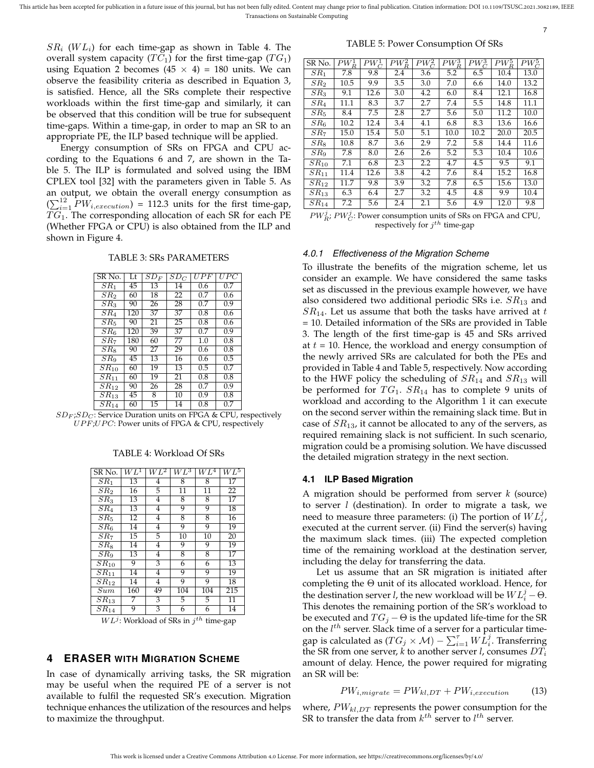$SR_i$  ( $WL_i$ ) for each time-gap as shown in Table 4. The overall system capacity  $(T C_1)$  for the first time-gap  $(T G_1)$ using Equation 2 becomes  $(45 \times 4) = 180$  units. We can observe the feasibility criteria as described in Equation 3, is satisfied. Hence, all the SRs complete their respective workloads within the first time-gap and similarly, it can be observed that this condition will be true for subsequent time-gaps. Within a time-gap, in order to map an SR to an appropriate PE, the ILP based technique will be applied.

Energy consumption of SRs on FPGA and CPU according to the Equations 6 and 7, are shown in the Table 5. The ILP is formulated and solved using the IBM CPLEX tool [32] with the parameters given in Table 5. As an output, we obtain the overall energy consumption as  $(\sum_{i=1}^{12} PV_{i, execution}) = 112.3$  units for the first time-gap,  $TG_1$ . The corresponding allocation of each SR for each PE (Whether FPGA or CPU) is also obtained from the ILP and shown in Figure 4.

#### TABLE 3: SRs PARAMETERS

| SR No.          | Lt               | $SD_F$ | $SD_C$ | UPF | UPC              |
|-----------------|------------------|--------|--------|-----|------------------|
| $SR_1$          | 45               | 13     | 14     | 0.6 | 0.7              |
| SR <sub>2</sub> | 60               | 18     | 22     | 0.7 | 0.6              |
| SR <sub>3</sub> | 90               | 26     | 28     | 0.7 | 0.9              |
| SRA             | 120              | 37     | 37     | 0.8 | 0.6              |
| $SR_5$          | 90               | 21     | 25     | 0.8 | 0.6              |
| $SR_6$          | $\overline{120}$ | 39     | 37     | 0.7 | $0.\overline{9}$ |
| SR <sub>7</sub> | 180              | 60     | 77     | 1.0 | 0.8              |
| SRs             | 90               | 27     | 29     | 0.6 | 0.8              |
| SR <sub>9</sub> | 45               | 13     | 16     | 0.6 | 0.5              |
| $SR_{10}$       | 60               | 19     | 13     | 0.5 | 0.7              |
| $SR_{11}$       | 60               | 19     | 21     | 0.8 | 0.8              |
| $SR_{12}$       | 90               | 26     | 28     | 0.7 | 0.9              |
| $SR_{13}$       | 45               | 8      | 10     | 0.9 | 0.8              |
| $SR_{14}$       | 60               | 15     | 14     | 0.8 | 0.7              |

 $SD_F$ ; $SD_C$ : Service Duration units on FPGA & CPU, respectively  $UPF; UPC$ : Power units of FPGA & CPU, respectively

#### TABLE 4: Workload Of SRs

| SR No.               | $WL^1$          | $WL^2$         | $WL^3$ | $WL^4$          | $WL^5$          |
|----------------------|-----------------|----------------|--------|-----------------|-----------------|
| SR <sub>1</sub>      | 13              | 4              | 8      | 8               | 17              |
| SR <sub>2</sub>      | 16              | 5              | 11     | 11              | 22              |
| SR <sub>3</sub>      | 13              | 4              | 8      | 8               | $\overline{17}$ |
| $SR_4$               | $\overline{1}3$ | 4              | 9      | 9               | 18              |
| $\overline{SR}_5$    | $\overline{12}$ | 4              | 8      | 8               | $\overline{16}$ |
| $\overline{SR_6}$    | $\overline{14}$ | $\overline{4}$ | 9      | 9               | 19              |
| $\overline{SR}_7$    | 15              | 5              | 10     | $\overline{10}$ | 20              |
| $SR_8$               | $\overline{1}4$ | 4              | 9      | 9               | 19              |
| $\overline{S}R_9$    | 13              | 4              | 8      | 8               | 17              |
| $\overline{S}R_{10}$ | 9               | $\overline{3}$ | 6      | 6               | 13              |
| $SR_{11}$            | 14              | 4              | 9      | 9               | 19              |
| $SR_{12}$            | 14              | 4              | 9      | 9               | 18              |
| Sum                  | 160             | 49             | 104    | 104             | 215             |
| $SR_{13}$            | 7               | 3              | 5      | 5               | 11              |
| $SR_{14}$            | 9               | 3              | 6      | 6               | 14              |

 $WL^{j}$ : Workload of SRs in  $j^{th}$  time-gap

# **4 ERASER WITH MIGRATION SCHEME**

In case of dynamically arriving tasks, the SR migration may be useful when the required PE of a server is not available to fulfil the requested SR's execution. Migration technique enhances the utilization of the resources and helps to maximize the throughput.

TABLE 5: Power Consumption Of SRs

7

| SR No.          | $\overline{P}W_R^1$ | $\overline{PW}_C^1$ | $PW_R^2$ | $PW_C^2$ | $PW^3_{\mathcal{P}}$ | $PW^3_{\alpha}$ | $PW^5_{\mathcal{P}}$ | $PW^5_{\sim}$ |
|-----------------|---------------------|---------------------|----------|----------|----------------------|-----------------|----------------------|---------------|
| $SR_1$          | 7.8                 | 9.8                 | 2.4      | 3.6      | 5.2                  | 6.5             | 10.4                 | 13.0          |
| SR <sub>2</sub> | 10.5                | 9.9                 | 3.5      | 3.0      | 7.0                  | 6.6             | 14.0                 | 13.2          |
| SR <sub>3</sub> | 9.1                 | 12.6                | 3.0      | 4.2      | 6.0                  | 8.4             | 12.1                 | 16.8          |
| SR <sub>4</sub> | 11.1                | 8.3                 | 3.7      | 2.7      | 7.4                  | 5.5             | 14.8                 | 11.1          |
| $SR_5$          | 8.4                 | 7.5                 | 2.8      | 2.7      | 5.6                  | 5.0             | 11.2                 | 10.0          |
| $SR_6$          | 10.2                | 12.4                | 3.4      | 4.1      | 6.8                  | 8.3             | 13.6                 | 16.6          |
| $SR_7$          | 15.0                | 15.4                | 5.0      | 5.1      | 10.0                 | 10.2            | 20.0                 | 20.5          |
| $SR_8$          | 10.8                | 8.7                 | 3.6      | 2.9      | 7.2                  | 5.8             | 14.4                 | 11.6          |
| $SR_9$          | 7.8                 | 8.0                 | 2.6      | 2.6      | 5.2                  | 5.3             | 10.4                 | 10.6          |
| $SR_{10}$       | 7.1                 | 6.8                 | 2.3      | 2.2      | 4.7                  | 4.5             | 9.5                  | 9.1           |
| $SR_{11}$       | 11.4                | 12.6                | 3.8      | 4.2      | 7.6                  | 8.4             | 15.2                 | 16.8          |
| $SR_{12}$       | 11.7                | 9.8                 | 3.9      | 3.2      | 7.8                  | 6.5             | 15.6                 | 13.0          |
| $SR_{13}$       | 6.3                 | 6.4                 | 2.7      | 3.2      | 4.5                  | 4.8             | 9.9                  | 10.4          |
| $SR_{14}$       | 7.2                 | 5.6                 | 2.4      | 2.1      | 5.6                  | 4.9             | 12.0                 | 9.8           |

| $PW_{B}^{j}$ ; $PW_{C}^{j}$ : Power consumption units of SRs on FPGA and CPU, |                                    |  |  |
|-------------------------------------------------------------------------------|------------------------------------|--|--|
|                                                                               | respectively for $j^{th}$ time-gap |  |  |

#### *4.0.1 Effectiveness of the Migration Scheme*

To illustrate the benefits of the migration scheme, let us consider an example. We have considered the same tasks set as discussed in the previous example however, we have also considered two additional periodic SRs i.e.  $SR<sub>13</sub>$  and  $SR_{14}$ . Let us assume that both the tasks have arrived at t = 10. Detailed information of the SRs are provided in Table 3. The length of the first time-gap is 45 and SRs arrived at  $t = 10$ . Hence, the workload and energy consumption of the newly arrived SRs are calculated for both the PEs and provided in Table 4 and Table 5, respectively. Now according to the HWF policy the scheduling of  $SR_{14}$  and  $SR_{13}$  will be performed for  $TG_1$ .  $SR_{14}$  has to complete 9 units of workload and according to the Algorithm 1 it can execute on the second server within the remaining slack time. But in case of  $SR_{13}$ , it cannot be allocated to any of the servers, as required remaining slack is not sufficient. In such scenario, migration could be a promising solution. We have discussed the detailed migration strategy in the next section.

# **4.1 ILP Based Migration**

A migration should be performed from server *k* (source) to server *l* (destination). In order to migrate a task, we need to measure three parameters: (i) The portion of  $WL<sub>i</sub><sup>j</sup>$ , executed at the current server. (ii) Find the server(s) having the maximum slack times. (iii) The expected completion time of the remaining workload at the destination server, including the delay for transferring the data.

Let us assume that an SR migration is initiated after completing the  $\Theta$  unit of its allocated workload. Hence, for the destination server *l*, the new workload will be  $WL_i^j - \Theta$ . This denotes the remaining portion of the SR's workload to be executed and  $TG_j - \Theta$  is the updated life-time for the SR on the  $l^{th}$  server. Slack time of a server for a particular timegap is calculated as  $(TG_j \times {\cal M}) - \sum_{i=1}^\tau W \overset{\cdot}{L_i^j}.$  Transferring the SR from one server, *k* to another server *l*, consumes  $DT_i$ amount of delay. Hence, the power required for migrating an SR will be:

$$
PW_{i,migrate} = PW_{kl,DT} + PW_{i, execution}
$$
 (13)

where,  $PW_{kl,DT}$  represents the power consumption for the SR to transfer the data from  $k^{th}$  server to  $l^{th}$  server.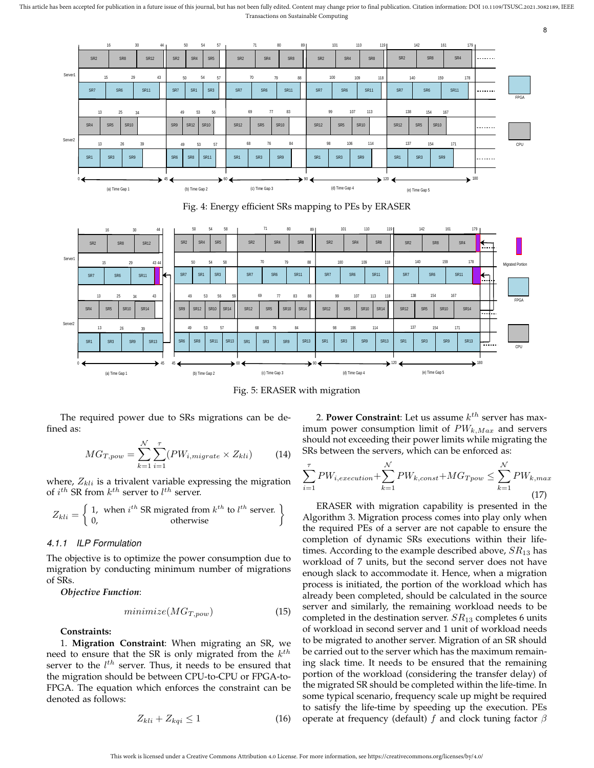This article has been accepted for publication in a future issue of this journal, but has not been fully edited. Content may change prior to final publication. Citation information: DOI 10.1109/TSUSC.2021.3082189, IEEE Transactions on Sustainable Computing



Fig. 4: Energy efficient SRs mapping to PEs by ERASER



Fig. 5: ERASER with migration

The required power due to SRs migrations can be defined as:

$$
MG_{T,pow} = \sum_{k=1}^{N} \sum_{i=1}^{T} (PW_{i,migrate} \times Z_{kli})
$$
 (14)

where,  $Z_{kli}$  is a trivalent variable expressing the migration of  $i^{th}$  SR from  $k^{th}$  server to  $l^{th}$  server.

$$
Z_{kli} = \begin{cases} 1, & \text{when } i^{th} \text{ SR} \text{ migrated from } k^{th} \text{ to } l^{th} \text{ server.} \\ 0, & \text{otherwise} \end{cases}
$$

# *4.1.1 ILP Formulation*

The objective is to optimize the power consumption due to migration by conducting minimum number of migrations of SRs.

*Objective Function*:

$$
minimize(MG_{T,pow})
$$
\n(15)

**Constraints:**

1. **Migration Constraint**: When migrating an SR, we need to ensure that the SR is only migrated from the  $k^{th}$ server to the  $l^{th}$  server. Thus, it needs to be ensured that the migration should be between CPU-to-CPU or FPGA-to-FPGA. The equation which enforces the constraint can be denoted as follows:

$$
Z_{kli} + Z_{kqi} \le 1\tag{16}
$$

2. **Power Constraint**: Let us assume  $k^{th}$  server has maximum power consumption limit of  $PW_{k,Max}$  and servers should not exceeding their power limits while migrating the SRs between the servers, which can be enforced as:

8

$$
\sum_{i=1}^{\tau} PW_{i, execution} + \sum_{k=1}^{N} PW_{k, const} + MG_{Tpow} \le \sum_{k=1}^{N} PW_{k, max}
$$
\n(17)

ERASER with migration capability is presented in the Algorithm 3. Migration process comes into play only when the required PEs of a server are not capable to ensure the completion of dynamic SRs executions within their lifetimes. According to the example described above,  $SR_{13}$  has workload of 7 units, but the second server does not have enough slack to accommodate it. Hence, when a migration process is initiated, the portion of the workload which has already been completed, should be calculated in the source server and similarly, the remaining workload needs to be completed in the destination server.  $SR_{13}$  completes 6 units of workload in second server and 1 unit of workload needs to be migrated to another server. Migration of an SR should be carried out to the server which has the maximum remaining slack time. It needs to be ensured that the remaining portion of the workload (considering the transfer delay) of the migrated SR should be completed within the life-time. In some typical scenario, frequency scale up might be required to satisfy the life-time by speeding up the execution. PEs operate at frequency (default) f and clock tuning factor  $\beta$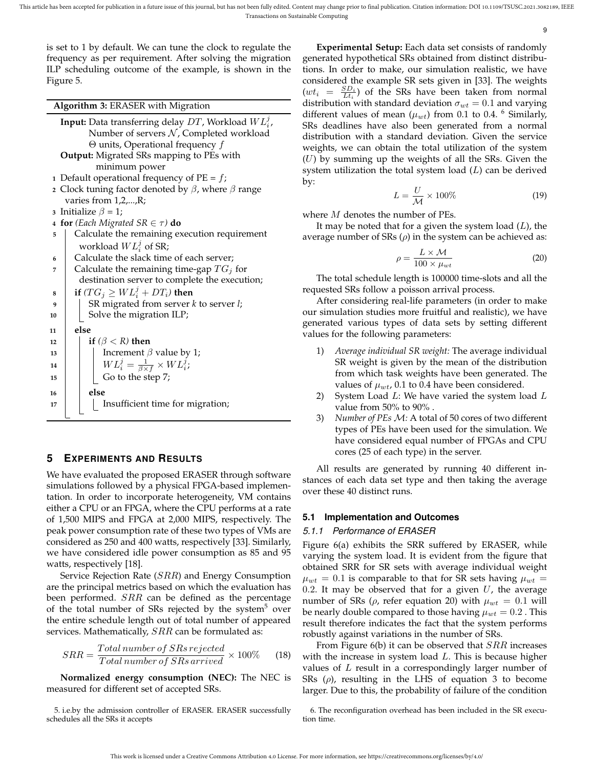This article has been accepted for publication in a future issue of this journal, but has not been fully edited. Content may change prior to final publication. Citation information: DOI 10.1109/TSUSC.2021.3082189, IEEE Transactions on Sustainable Computing

9

is set to 1 by default. We can tune the clock to regulate the frequency as per requirement. After solving the migration ILP scheduling outcome of the example, is shown in the Figure 5.

**Algorithm 3:** ERASER with Migration

- **Input:** Data transferring delay  $DT$ , Workload  $WL_i^j$ , Number of servers  $N$ , Completed workload  $Θ$  units, Operational frequency  $f$ **Output:** Migrated SRs mapping to PEs with
- minimum power **1** Default operational frequency of  $PE = f$ ;
- **2** Clock tuning factor denoted by  $\beta$ , where  $\beta$  range varies from 1,2,...,R;
- **3** Initialize  $\beta = 1$ ;
- **4 for** *(Each Migrated SR*  $\in$   $\tau$ *)* **do**
- **<sup>5</sup>** Calculate the remaining execution requirement workload  $WL_i^j$  of SR;
- **<sup>6</sup>** Calculate the slack time of each server;
- **7** Calculate the remaining time-gap  $TG_j$  for destination server to complete the execution;

 $\textbf{s} \ \ \ \ \ \ \ \ \textbf{if} \ (TG_j \geq WL_i^j + DT_i) \ \textbf{then}$ **9** | SR migrated from server *k* to server *l*;

- **10** Solve the migration ILP;
	-
- **<sup>11</sup> else**
- **12 if**  $(\beta < R)$  **then** 
	-
- **13**  $\vert$  Increment  $\beta$  value by 1;
- $\begin{array}{|c|c|c|c|}\hline \textbf{14} & & W L_i^j = \frac{1}{\beta \times f} \times W L_i^j; \hline \end{array}$
- 15 | | Go to the step 7;
	-
- **<sup>16</sup> else** 17 | | Insufficient time for migration;

# **5 EXPERIMENTS AND RESULTS**

We have evaluated the proposed ERASER through software simulations followed by a physical FPGA-based implementation. In order to incorporate heterogeneity, VM contains either a CPU or an FPGA, where the CPU performs at a rate of 1,500 MIPS and FPGA at 2,000 MIPS, respectively. The peak power consumption rate of these two types of VMs are considered as 250 and 400 watts, respectively [33]. Similarly, we have considered idle power consumption as 85 and 95 watts, respectively [18].

Service Rejection Rate (SRR) and Energy Consumption are the principal metrics based on which the evaluation has been performed.  $SRR$  can be defined as the percentage of the total number of SRs rejected by the system $5$  over the entire schedule length out of total number of appeared services. Mathematically,  $SRR$  can be formulated as:

$$
SRR = \frac{Total\ number\ of\ SRs\ rejected}{Total\ number\ of\ SRs\ arrived} \times 100\%
$$
 (18)

**Normalized energy consumption (NEC):** The NEC is measured for different set of accepted SRs.

5. i.e.by the admission controller of ERASER. ERASER successfully schedules all the SRs it accepts

**Experimental Setup:** Each data set consists of randomly generated hypothetical SRs obtained from distinct distributions. In order to make, our simulation realistic, we have considered the example SR sets given in [33]. The weights  $(w t_i = \frac{SD_i}{Lt_i})$  of the SRs have been taken from normal distribution with standard deviation  $\sigma_{wt} = 0.1$  and varying different values of mean  $(\mu_{wt})$  from 0.1 to 0.4. <sup>6</sup> Similarly, SRs deadlines have also been generated from a normal distribution with a standard deviation. Given the service weights, we can obtain the total utilization of the system  $(U)$  by summing up the weights of all the SRs. Given the system utilization the total system load  $(L)$  can be derived by:

$$
L = \frac{U}{\mathcal{M}} \times 100\% \tag{19}
$$

where *M* denotes the number of PEs.

It may be noted that for a given the system load  $(L)$ , the average number of SRs  $(\rho)$  in the system can be achieved as:

$$
\rho = \frac{L \times \mathcal{M}}{100 \times \mu_{wt}} \tag{20}
$$

The total schedule length is 100000 time-slots and all the requested SRs follow a poisson arrival process.

After considering real-life parameters (in order to make our simulation studies more fruitful and realistic), we have generated various types of data sets by setting different values for the following parameters:

- 1) *Average individual SR weight:* The average individual SR weight is given by the mean of the distribution from which task weights have been generated. The values of  $\mu_{wt}$ , 0.1 to 0.4 have been considered.
- 2) System Load  $L:$  We have varied the system load  $L$ value from 50% to 90% .
- 3) *Number of PEs* M*:* A total of 50 cores of two different types of PEs have been used for the simulation. We have considered equal number of FPGAs and CPU cores (25 of each type) in the server.

All results are generated by running 40 different instances of each data set type and then taking the average over these 40 distinct runs.

# **5.1 Implementation and Outcomes**

# *5.1.1 Performance of ERASER*

Figure 6(a) exhibits the SRR suffered by ERASER, while varying the system load. It is evident from the figure that obtained SRR for SR sets with average individual weight  $\mu_{wt} = 0.1$  is comparable to that for SR sets having  $\mu_{wt} =$ 0.2. It may be observed that for a given  $U$ , the average number of SRs ( $\rho$ , refer equation 20) with  $\mu_{wt} = 0.1$  will be nearly double compared to those having  $\mu_{wt} = 0.2$ . This result therefore indicates the fact that the system performs robustly against variations in the number of SRs.

From Figure  $6(b)$  it can be observed that  $SRR$  increases with the increase in system load  $L$ . This is because higher values of  $L$  result in a correspondingly larger number of SRs  $(\rho)$ , resulting in the LHS of equation 3 to become larger. Due to this, the probability of failure of the condition

<sup>6.</sup> The reconfiguration overhead has been included in the SR execution time.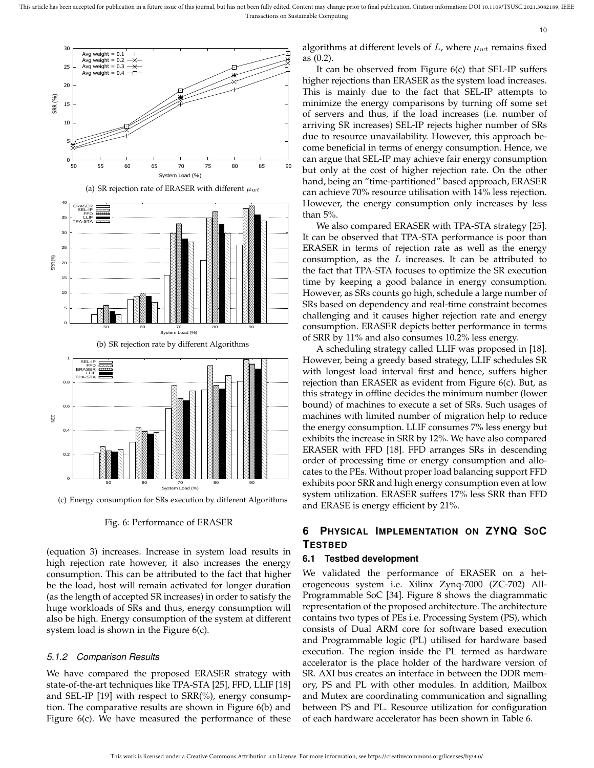

(c) Energy consumption for SRs execution by different Algorithms

Fig. 6: Performance of ERASER

(equation 3) increases. Increase in system load results in high rejection rate however, it also increases the energy consumption. This can be attributed to the fact that higher be the load, host will remain activated for longer duration (as the length of accepted SR increases) in order to satisfy the huge workloads of SRs and thus, energy consumption will also be high. Energy consumption of the system at different system load is shown in the Figure 6(c).

#### *5.1.2 Comparison Results*

We have compared the proposed ERASER strategy with state-of-the-art techniques like TPA-STA [25], FFD, LLIF [18] and SEL-IP [19] with respect to SRR(%), energy consumption. The comparative results are shown in Figure 6(b) and Figure 6(c). We have measured the performance of these algorithms at different levels of  $L$ , where  $\mu_{wt}$  remains fixed as (0.2).

10

It can be observed from Figure 6(c) that SEL-IP suffers higher rejections than ERASER as the system load increases. This is mainly due to the fact that SEL-IP attempts to minimize the energy comparisons by turning off some set of servers and thus, if the load increases (i.e. number of arriving SR increases) SEL-IP rejects higher number of SRs due to resource unavailability. However, this approach become beneficial in terms of energy consumption. Hence, we can argue that SEL-IP may achieve fair energy consumption but only at the cost of higher rejection rate. On the other hand, being an "time-partitioned" based approach, ERASER can achieve 70% resource utilisation with 14% less rejection. However, the energy consumption only increases by less than 5%.

We also compared ERASER with TPA-STA strategy [25]. It can be observed that TPA-STA performance is poor than ERASER in terms of rejection rate as well as the energy consumption, as the  $L$  increases. It can be attributed to the fact that TPA-STA focuses to optimize the SR execution time by keeping a good balance in energy consumption. However, as SRs counts go high, schedule a large number of SRs based on dependency and real-time constraint becomes challenging and it causes higher rejection rate and energy consumption. ERASER depicts better performance in terms of SRR by 11% and also consumes 10.2% less energy.

A scheduling strategy called LLIF was proposed in [18]. However, being a greedy based strategy, LLIF schedules SR with longest load interval first and hence, suffers higher rejection than ERASER as evident from Figure 6(c). But, as this strategy in offline decides the minimum number (lower bound) of machines to execute a set of SRs. Such usages of machines with limited number of migration help to reduce the energy consumption. LLIF consumes 7% less energy but exhibits the increase in SRR by 12%. We have also compared ERASER with FFD [18]. FFD arranges SRs in descending order of processing time or energy consumption and allocates to the PEs. Without proper load balancing support FFD exhibits poor SRR and high energy consumption even at low system utilization. ERASER suffers 17% less SRR than FFD and ERASE is energy efficient by 21%.

# **6 PHYSICAL IMPLEMENTATION ON ZYNQ SOC TESTBED**

#### **6.1 Testbed development**

We validated the performance of ERASER on a heterogeneous system i.e. Xilinx Zynq-7000 (ZC-702) All-Programmable SoC [34]. Figure 8 shows the diagrammatic representation of the proposed architecture. The architecture contains two types of PEs i.e. Processing System (PS), which consists of Dual ARM core for software based execution and Programmable logic (PL) utilised for hardware based execution. The region inside the PL termed as hardware accelerator is the place holder of the hardware version of SR. AXI bus creates an interface in between the DDR memory, PS and PL with other modules. In addition, Mailbox and Mutex are coordinating communication and signalling between PS and PL. Resource utilization for configuration of each hardware accelerator has been shown in Table 6.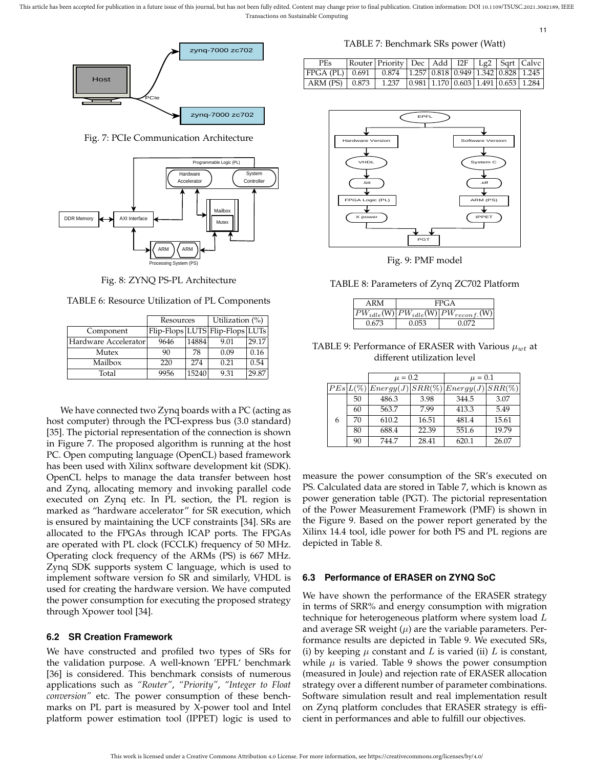This article has been accepted for publication in a future issue of this journal, but has not been fully edited. Content may change prior to final publication. Citation information: DOI 10.1109/TSUSC.2021.3082189, IEEE Transactions on Sustainable Computing



Fig. 7: PCIe Communication Architecture



Fig. 8: ZYNQ PS-PL Architecture

|                      | Resources |       | Utilization $(\%)$              |       |  |
|----------------------|-----------|-------|---------------------------------|-------|--|
| Component            |           |       | Flip-Flops LUTS Flip-Flops LUTs |       |  |
| Hardware Accelerator | 9646      | 14884 | 9.01                            | 29.17 |  |
| Mutex                | 90        | 78    | 0.09                            | 0.16  |  |
| Mailbox              | 220       | 274   | 0.21                            | 0.54  |  |
| Total                | 9956      | 15240 | 9.31                            | 29.87 |  |

We have connected two Zynq boards with a PC (acting as host computer) through the PCI-express bus (3.0 standard) [35]. The pictorial representation of the connection is shown in Figure 7. The proposed algorithm is running at the host PC. Open computing language (OpenCL) based framework has been used with Xilinx software development kit (SDK). OpenCL helps to manage the data transfer between host and Zynq, allocating memory and invoking parallel code executed on Zynq etc. In PL section, the PL region is marked as "hardware accelerator" for SR execution, which is ensured by maintaining the UCF constraints [34]. SRs are allocated to the FPGAs through ICAP ports. The FPGAs are operated with PL clock (FCCLK) frequency of 50 MHz. Operating clock frequency of the ARMs (PS) is 667 MHz. Zynq SDK supports system C language, which is used to implement software version fo SR and similarly, VHDL is used for creating the hardware version. We have computed the power consumption for executing the proposed strategy through Xpower tool [34].

#### **6.2 SR Creation Framework**

We have constructed and profiled two types of SRs for the validation purpose. A well-known 'EPFL' benchmark [36] is considered. This benchmark consists of numerous applications such as *"Router"*, *"Priority"*, *"Integer to Float conversion"* etc. The power consumption of these benchmarks on PL part is measured by X-power tool and Intel platform power estimation tool (IPPET) logic is used to

TABLE 7: Benchmark SRs power (Watt)

11

| <b>PEs</b>                                                 | Router Priority Dec Add I2F Lg2 Sqrt Calve |  |  |  |
|------------------------------------------------------------|--------------------------------------------|--|--|--|
| FPGA (PL) 0.691 0.874 1.257 0.818 0.949 1.342 0.828 1.245  |                                            |  |  |  |
| $ARM (PS)$ 0.873 1.237 0.981 1.170 0.603 1.491 0.653 1.284 |                                            |  |  |  |



Fig. 9: PMF model

TABLE 8: Parameters of Zynq ZC702 Platform

| ARM   |       | FPGA                                                                      |
|-------|-------|---------------------------------------------------------------------------|
|       |       | $\left  PW_{idle}(W) \right  PW_{idle}(W) \left  PW_{reconf.}(W) \right $ |
| 0.673 | በ በ53 | በ በ72                                                                     |

TABLE 9: Performance of ERASER with Various  $\mu_{wt}$  at different utilization level

|   |    | $\mu = 0.2$                                     |       | $\mu = 0.1$ |       |
|---|----|-------------------------------------------------|-------|-------------|-------|
|   |    | $PEs L(\%) Energy(J) SRR(\%) Energy(J) SRR(\%)$ |       |             |       |
|   | 50 | 486.3                                           | 3.98  | 344.5       | 3.07  |
|   | 60 | 563.7                                           | 7.99  | 413.3       | 5.49  |
| 6 | 70 | 610.2                                           | 16.51 | 481.4       | 15.61 |
|   | 80 | 688.4                                           | 22.39 | 551.6       | 19.79 |
|   | 90 | 744.7                                           | 28.41 | 620.1       | 26.07 |

measure the power consumption of the SR's executed on PS. Calculated data are stored in Table 7, which is known as power generation table (PGT). The pictorial representation of the Power Measurement Framework (PMF) is shown in the Figure 9. Based on the power report generated by the Xilinx 14.4 tool, idle power for both PS and PL regions are depicted in Table 8.

#### **6.3 Performance of ERASER on ZYNQ SoC**

We have shown the performance of the ERASER strategy in terms of SRR% and energy consumption with migration technique for heterogeneous platform where system load  $L$ and average SR weight  $(\mu)$  are the variable parameters. Performance results are depicted in Table 9. We executed SRs, (i) by keeping  $\mu$  constant and L is varied (ii) L is constant, while  $\mu$  is varied. Table 9 shows the power consumption (measured in Joule) and rejection rate of ERASER allocation strategy over a different number of parameter combinations. Software simulation result and real implementation result on Zynq platform concludes that ERASER strategy is efficient in performances and able to fulfill our objectives.

This work is licensed under a Creative Commons Attribution 4.0 License. For more information, see https://creativecommons.org/licenses/by/4.0/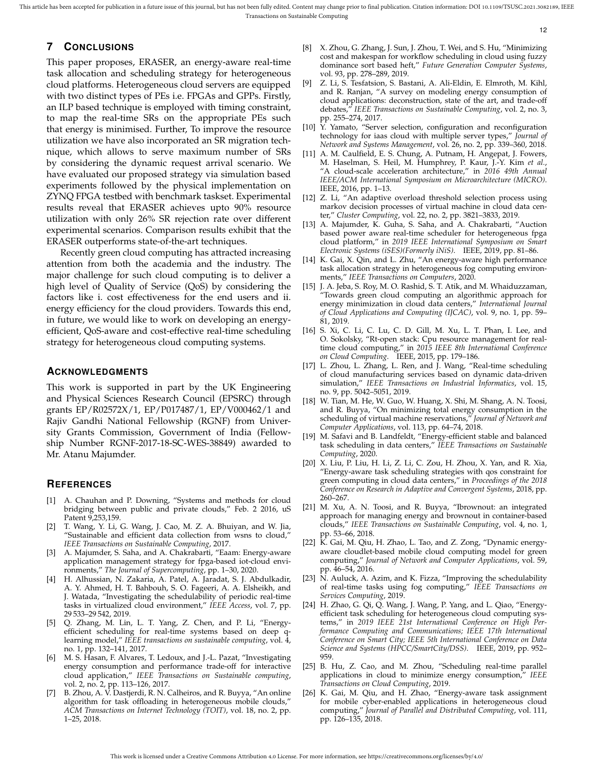# **7 CONCLUSIONS**

This paper proposes, ERASER, an energy-aware real-time task allocation and scheduling strategy for heterogeneous cloud platforms. Heterogeneous cloud servers are equipped with two distinct types of PEs i.e. FPGAs and GPPs. Firstly, an ILP based technique is employed with timing constraint, to map the real-time SRs on the appropriate PEs such that energy is minimised. Further, To improve the resource utilization we have also incorporated an SR migration technique, which allows to serve maximum number of SRs by considering the dynamic request arrival scenario. We have evaluated our proposed strategy via simulation based experiments followed by the physical implementation on ZYNQ FPGA testbed with benchmark taskset. Experimental results reveal that ERASER achieves upto 90% resource utilization with only 26% SR rejection rate over different experimental scenarios. Comparison results exhibit that the ERASER outperforms state-of-the-art techniques.

Recently green cloud computing has attracted increasing attention from both the academia and the industry. The major challenge for such cloud computing is to deliver a high level of Quality of Service (QoS) by considering the factors like i. cost effectiveness for the end users and ii. energy efficiency for the cloud providers. Towards this end, in future, we would like to work on developing an energyefficient, QoS-aware and cost-effective real-time scheduling strategy for heterogeneous cloud computing systems.

#### **ACKNOWLEDGMENTS**

This work is supported in part by the UK Engineering and Physical Sciences Research Council (EPSRC) through grants EP/R02572X/1, EP/P017487/1, EP/V000462/1 and Rajiv Gandhi National Fellowship (RGNF) from University Grants Commission, Government of India (Fellowship Number RGNF-2017-18-SC-WES-38849) awarded to Mr. Atanu Majumder.

# **REFERENCES**

- [1] A. Chauhan and P. Downing, "Systems and methods for cloud bridging between public and private clouds," Feb. 2 2016, uS Patent 9,253,159.
- [2] T. Wang, Y. Li, G. Wang, J. Cao, M. Z. A. Bhuiyan, and W. Jia, "Sustainable and efficient data collection from wsns to cloud," *IEEE Transactions on Sustainable Computing*, 2017.
- [3] A. Majumder, S. Saha, and A. Chakrabarti, "Eaam: Energy-aware application management strategy for fpga-based iot-cloud environments," *The Journal of Supercomputing*, pp. 1–30, 2020.
- [4] H. Alhussian, N. Zakaria, A. Patel, A. Jaradat, S. J. Abdulkadir, A. Y. Ahmed, H. T. Bahbouh, S. O. Fageeri, A. A. Elsheikh, and J. Watada, "Investigating the schedulability of periodic real-time tasks in virtualized cloud environment," *IEEE Access*, vol. 7, pp. 29 533–29 542, 2019.
- [5] Q. Zhang, M. Lin, L. T. Yang, Z. Chen, and P. Li, "Energyefficient scheduling for real-time systems based on deep qlearning model," *IEEE transactions on sustainable computing*, vol. 4, no. 1, pp. 132–141, 2017.
- [6] M. S. Hasan, F. Alvares, T. Ledoux, and J.-L. Pazat, "Investigating energy consumption and performance trade-off for interactive cloud application," *IEEE Transactions on Sustainable computing*, vol. 2, no. 2, pp. 113-126, 2017.
- B. Zhou, A. V. Dastjerdi, R. N. Calheiros, and R. Buyya, "An online algorithm for task offloading in heterogeneous mobile clouds," *ACM Transactions on Internet Technology (TOIT)*, vol. 18, no. 2, pp. 1–25, 2018.

[8] X. Zhou, G. Zhang, J. Sun, J. Zhou, T. Wei, and S. Hu, "Minimizing cost and makespan for workflow scheduling in cloud using fuzzy dominance sort based heft," *Future Generation Computer Systems*, vol. 93, pp. 278–289, 2019.

12

- [9] Z. Li, S. Tesfatsion, S. Bastani, A. Ali-Eldin, E. Elmroth, M. Kihl, and R. Ranjan, "A survey on modeling energy consumption of cloud applications: deconstruction, state of the art, and trade-off debates," *IEEE Transactions on Sustainable Computing*, vol. 2, no. 3, pp. 255–274, 2017.
- [10] Y. Yamato, "Server selection, configuration and reconfiguration technology for iaas cloud with multiple server types," *Journal of Network and Systems Management*, vol. 26, no. 2, pp. 339–360, 2018.
- [11] A. M. Caulfield, E. S. Chung, A. Putnam, H. Angepat, J. Fowers, M. Haselman, S. Heil, M. Humphrey, P. Kaur, J.-Y. Kim *et al.*, "A cloud-scale acceleration architecture," in *2016 49th Annual IEEE/ACM International Symposium on Microarchitecture (MICRO)*. IEEE, 2016, pp. 1–13.
- [12] Z. Li, "An adaptive overload threshold selection process using markov decision processes of virtual machine in cloud data center," *Cluster Computing*, vol. 22, no. 2, pp. 3821–3833, 2019.
- [13] A. Majumder, K. Guha, S. Saha, and A. Chakrabarti, "Auction based power aware real-time scheduler for heterogeneous fpga cloud platform," in *2019 IEEE International Symposium on Smart Electronic Systems (iSES)(Formerly iNiS)*. IEEE, 2019, pp. 81–86.
- [14] K. Gai, X. Qin, and L. Zhu, "An energy-aware high performance task allocation strategy in heterogeneous fog computing environments," *IEEE Transactions on Computers*, 2020.
- [15] J. A. Jeba, S. Roy, M. O. Rashid, S. T. Atik, and M. Whaiduzzaman, "Towards green cloud computing an algorithmic approach for energy minimization in cloud data centers," *International Journal of Cloud Applications and Computing (IJCAC)*, vol. 9, no. 1, pp. 59– 81, 2019.
- [16] S. Xi, C. Li, C. Lu, C. D. Gill, M. Xu, L. T. Phan, I. Lee, and O. Sokolsky, "Rt-open stack: Cpu resource management for realtime cloud computing," in *2015 IEEE 8th International Conference on Cloud Computing*. IEEE, 2015, pp. 179–186.
- [17] L. Zhou, L. Zhang, L. Ren, and J. Wang, "Real-time scheduling of cloud manufacturing services based on dynamic data-driven simulation," *IEEE Transactions on Industrial Informatics*, vol. 15, no. 9, pp. 5042–5051, 2019.
- [18] W. Tian, M. He, W. Guo, W. Huang, X. Shi, M. Shang, A. N. Toosi, and R. Buyya, "On minimizing total energy consumption in the scheduling of virtual machine reservations," *Journal of Network and Computer Applications*, vol. 113, pp. 64–74, 2018.
- [19] M. Safavi and B. Landfeldt, "Energy-efficient stable and balanced task scheduling in data centers," *IEEE Transactions on Sustainable Computing*, 2020.
- [20] X. Liu, P. Liu, H. Li, Z. Li, C. Zou, H. Zhou, X. Yan, and R. Xia, "Energy-aware task scheduling strategies with qos constraint for green computing in cloud data centers," in *Proceedings of the 2018 Conference on Research in Adaptive and Convergent Systems*, 2018, pp. 260–267.
- [21] M. Xu, A. N. Toosi, and R. Buyya, "Ibrownout: an integrated approach for managing energy and brownout in container-based clouds," *IEEE Transactions on Sustainable Computing*, vol. 4, no. 1, pp. 53–66, 2018.
- [22] K. Gai, M. Qiu, H. Zhao, L. Tao, and Z. Zong, "Dynamic energyaware cloudlet-based mobile cloud computing model for green computing," *Journal of Network and Computer Applications*, vol. 59, pp. 46–54, 2016.
- [23] N. Auluck, A. Azim, and K. Fizza, "Improving the schedulability of real-time tasks using fog computing," *IEEE Transactions on Services Computing*, 2019.
- [24] H. Zhao, G. Qi, Q. Wang, J. Wang, P. Yang, and L. Qiao, "Energyefficient task scheduling for heterogeneous cloud computing systems," in *2019 IEEE 21st International Conference on High Performance Computing and Communications; IEEE 17th International Conference on Smart City; IEEE 5th International Conference on Data Science and Systems (HPCC/SmartCity/DSS)*. IEEE, 2019, pp. 952– 959.
- [25] B. Hu, Z. Cao, and M. Zhou, "Scheduling real-time parallel applications in cloud to minimize energy consumption," *IEEE Transactions on Cloud Computing*, 2019.
- [26] K. Gai, M. Qiu, and H. Zhao, "Energy-aware task assignment for mobile cyber-enabled applications in heterogeneous cloud computing," *Journal of Parallel and Distributed Computing*, vol. 111, pp. 126–135, 2018.